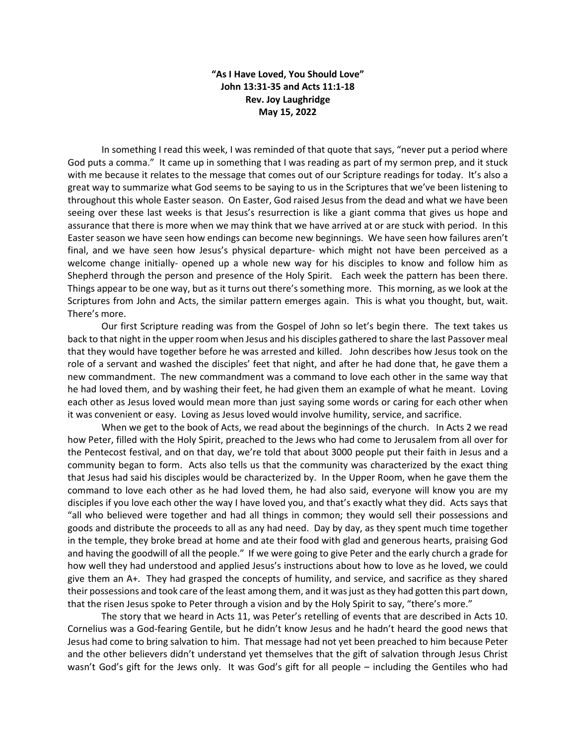## **"As I Have Loved, You Should Love" John 13:31-35 and Acts 11:1-18 Rev. Joy Laughridge May 15, 2022**

In something I read this week, I was reminded of that quote that says, "never put a period where God puts a comma." It came up in something that I was reading as part of my sermon prep, and it stuck with me because it relates to the message that comes out of our Scripture readings for today. It's also a great way to summarize what God seems to be saying to us in the Scriptures that we've been listening to throughout this whole Easter season. On Easter, God raised Jesus from the dead and what we have been seeing over these last weeks is that Jesus's resurrection is like a giant comma that gives us hope and assurance that there is more when we may think that we have arrived at or are stuck with period. In this Easter season we have seen how endings can become new beginnings. We have seen how failures aren't final, and we have seen how Jesus's physical departure- which might not have been perceived as a welcome change initially- opened up a whole new way for his disciples to know and follow him as Shepherd through the person and presence of the Holy Spirit. Each week the pattern has been there. Things appear to be one way, but as it turns out there's something more. This morning, as we look at the Scriptures from John and Acts, the similar pattern emerges again. This is what you thought, but, wait. There's more.

Our first Scripture reading was from the Gospel of John so let's begin there. The text takes us back to that night in the upper room when Jesus and his disciples gathered to share the last Passover meal that they would have together before he was arrested and killed. John describes how Jesus took on the role of a servant and washed the disciples' feet that night, and after he had done that, he gave them a new commandment. The new commandment was a command to love each other in the same way that he had loved them, and by washing their feet, he had given them an example of what he meant. Loving each other as Jesus loved would mean more than just saying some words or caring for each other when it was convenient or easy. Loving as Jesus loved would involve humility, service, and sacrifice.

When we get to the book of Acts, we read about the beginnings of the church. In Acts 2 we read how Peter, filled with the Holy Spirit, preached to the Jews who had come to Jerusalem from all over for the Pentecost festival, and on that day, we're told that about 3000 people put their faith in Jesus and a community began to form. Acts also tells us that the community was characterized by the exact thing that Jesus had said his disciples would be characterized by. In the Upper Room, when he gave them the command to love each other as he had loved them, he had also said, everyone will know you are my disciples if you love each other the way I have loved you, and that's exactly what they did. Acts says that "all who believed were together and had all things in common; they would sell their possessions and goods and distribute the proceeds to all as any had need. Day by day, as they spent much time together in the temple, they broke bread at home and ate their food with glad and generous hearts, praising God and having the goodwill of all the people." If we were going to give Peter and the early church a grade for how well they had understood and applied Jesus's instructions about how to love as he loved, we could give them an A+. They had grasped the concepts of humility, and service, and sacrifice as they shared their possessions and took care of the least among them, and it was just as they had gotten this part down, that the risen Jesus spoke to Peter through a vision and by the Holy Spirit to say, "there's more."

The story that we heard in Acts 11, was Peter's retelling of events that are described in Acts 10. Cornelius was a God-fearing Gentile, but he didn't know Jesus and he hadn't heard the good news that Jesus had come to bring salvation to him. That message had not yet been preached to him because Peter and the other believers didn't understand yet themselves that the gift of salvation through Jesus Christ wasn't God's gift for the Jews only. It was God's gift for all people – including the Gentiles who had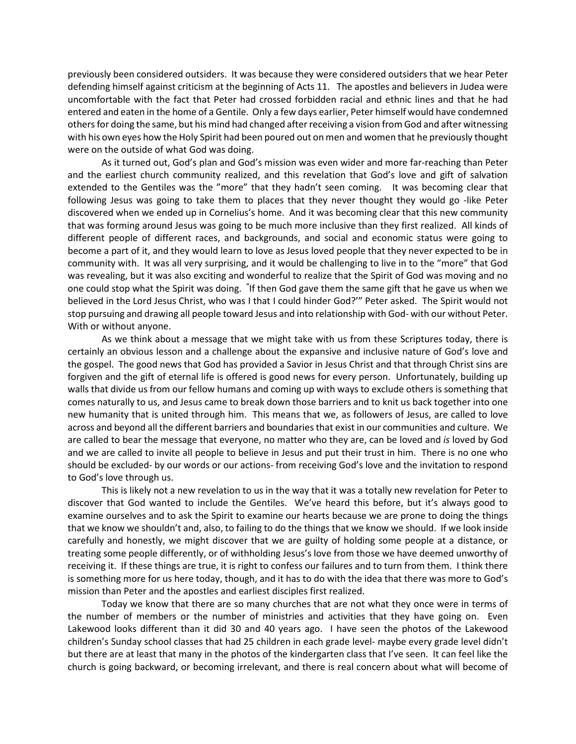previously been considered outsiders. It was because they were considered outsiders that we hear Peter defending himself against criticism at the beginning of Acts 11. The apostles and believers in Judea were uncomfortable with the fact that Peter had crossed forbidden racial and ethnic lines and that he had entered and eaten in the home of a Gentile. Only a few days earlier, Peter himself would have condemned others for doing the same, but his mind had changed after receiving a vision from God and after witnessing with his own eyes how the Holy Spirit had been poured out on men and women that he previously thought were on the outside of what God was doing.

As it turned out, God's plan and God's mission was even wider and more far-reaching than Peter and the earliest church community realized, and this revelation that God's love and gift of salvation extended to the Gentiles was the "more" that they hadn't seen coming. It was becoming clear that following Jesus was going to take them to places that they never thought they would go -like Peter discovered when we ended up in Cornelius's home. And it was becoming clear that this new community that was forming around Jesus was going to be much more inclusive than they first realized. All kinds of different people of different races, and backgrounds, and social and economic status were going to become a part of it, and they would learn to love as Jesus loved people that they never expected to be in community with. It was all very surprising, and it would be challenging to live in to the "more" that God was revealing, but it was also exciting and wonderful to realize that the Spirit of God was moving and no one could stop what the Spirit was doing. "If then God gave them the same gift that he gave us when we believed in the Lord Jesus Christ, who was I that I could hinder God?'" Peter asked. The Spirit would not stop pursuing and drawing all people toward Jesus and into relationship with God- with our without Peter. With or without anyone.

As we think about a message that we might take with us from these Scriptures today, there is certainly an obvious lesson and a challenge about the expansive and inclusive nature of God's love and the gospel. The good news that God has provided a Savior in Jesus Christ and that through Christ sins are forgiven and the gift of eternal life is offered is good news for every person. Unfortunately, building up walls that divide us from our fellow humans and coming up with ways to exclude others is something that comes naturally to us, and Jesus came to break down those barriers and to knit us back together into one new humanity that is united through him. This means that we, as followers of Jesus, are called to love across and beyond all the different barriers and boundaries that exist in our communities and culture. We are called to bear the message that everyone, no matter who they are, can be loved and *is* loved by God and we are called to invite all people to believe in Jesus and put their trust in him. There is no one who should be excluded- by our words or our actions- from receiving God's love and the invitation to respond to God's love through us.

This is likely not a new revelation to us in the way that it was a totally new revelation for Peter to discover that God wanted to include the Gentiles. We've heard this before, but it's always good to examine ourselves and to ask the Spirit to examine our hearts because we are prone to doing the things that we know we shouldn't and, also, to failing to do the things that we know we should. If we look inside carefully and honestly, we might discover that we are guilty of holding some people at a distance, or treating some people differently, or of withholding Jesus's love from those we have deemed unworthy of receiving it. If these things are true, it is right to confess our failures and to turn from them. I think there is something more for us here today, though, and it has to do with the idea that there was more to God's mission than Peter and the apostles and earliest disciples first realized.

Today we know that there are so many churches that are not what they once were in terms of the number of members or the number of ministries and activities that they have going on. Even Lakewood looks different than it did 30 and 40 years ago. I have seen the photos of the Lakewood children's Sunday school classes that had 25 children in each grade level- maybe every grade level didn't but there are at least that many in the photos of the kindergarten class that I've seen. It can feel like the church is going backward, or becoming irrelevant, and there is real concern about what will become of